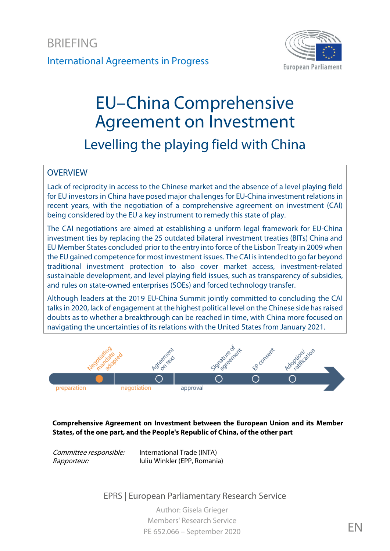

# EU–China Comprehensive Agreement on Investment Levelling the playing field with China

#### **OVERVIEW**

Lack of reciprocity in access to the Chinese market and the absence of a level playing field for EU investors in China have posed major challenges for EU-China investment relations in recent years, with the negotiation of a comprehensive agreement on investment (CAI) being considered by the EU a key instrument to remedy this state of play.

The CAI negotiations are aimed at establishing a uniform legal framework for EU-China investment ties by replacing the 25 outdated bilateral investment treaties (BITs) China and EU Member States concluded prior to the entry into force of the Lisbon Treaty in 2009 when the EU gained competence for most investment issues. The CAI is intended to go far beyond traditional investment protection to also cover market access, investment-related sustainable development, and level playing field issues, such as transparency of subsidies, and rules on state-owned enterprises (SOEs) and forced technology transfer.

Although leaders at the 2019 EU-China Summit jointly committed to concluding the CAI talks in 2020, lack of engagement at the highest political level on the Chinese side has raised doubts as to whether a breakthrough can be reached in time, with China more focused on navigating the uncertainties of its relations with the United States from January 2021.



**Comprehensive Agreement on Investment between the European Union and its Member States, of the one part, and the People's Republic of China, of the other part**

Committee responsible: Rapporteur:

International Trade (INTA) Iuliu Winkler (EPP, Romania)

### EPRS | European Parliamentary Research Service

Author: Gisela Grieger Members' Research Service PE 652.066 – September 2020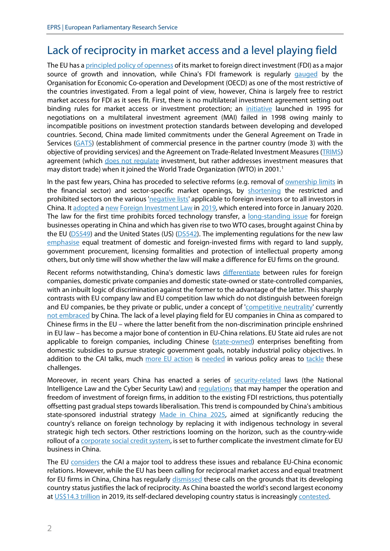# Lack of reciprocity in market access and a level playing field

The EU has [a principled policy of openness](https://ec.europa.eu/commission/sites/beta-political/files/reflection-paper-globalisation_en.pdf) of its market to foreign direct investment (FDI) as a major source of growth and innovation, while China's FDI framework is regularly [gauged](https://data.oecd.org/fdi/fdi-restrictiveness.htm) by the Organisation for Economic Co-operation and Development (OECD) as one of the most restrictive of the countries investigated. From a legal point of view, however, China is largely free to restrict market access for FDI as it sees fit. First, there is no multilateral investment agreement setting out binding rules for market access or investment protection; an *[initiative](https://www.oecd.org/investment/internationalinvestmentagreements/multilateralagreementoninvestment.htm)* launched in 1995 for negotiations on a multilateral investment agreement (MAI) failed in 1998 owing mainly to incompatible positions on investment protection standards between developing and developed countries. Second, China made limited commitments under the General Agreement on Trade in Services [\(GATS\)](https://www.wto.org/english/docs_e/legal_e/26-gats.pdf) (establishment of commercial presence in the partner country (mode 3) with the objective of providing services) and the Agreement on Trade-Related Investment Measures [\(TRIMS\)](https://www.wto.org/english/tratop_e/invest_e/trims_e.htm) agreement (which [does not regulate](https://www.wto.org/english/res_e/reser_e/ersd201814_e.pdf) investment, but rather addresses investment measures that may distort trade) when it joined the World Trade Organization (WTO) in 200[1](#page-11-0).<sup>1</sup>

In the past few years, China has proceded to selective reforms (e.g. removal of **ownership limits** in the financial sector) and sector-specific market openings, by [shortening](https://www.ifw-kiel.de/fileadmin/Dateiverwaltung/IfW-Publications/-ifw/Kiel_Policy_Brief/Kiel_Policy_Brief_117.pdf) the restricted and prohibited sectors on the various ['negative lists'](https://www.china-briefing.com/news/china-fdi-policy-negative-lists-encouraged-catalogues/) applicable to foreign investors or to all investors in China. It [adopted](https://www.nortonrosefulbright.com/en/knowledge/publications/a885f4c3/china-overhauls-its-foreign-investment-regulatory-regime) a [new](http://ipkitten.blogspot.com/2019/03/a-brief-introduction-of-new-chinese.html) [Foreign Investment Law](https://www.1421.consulting/2019/04/new-foreign-investment-law-in-china/) in [2019,](https://www.chinalawinsight.com/2019/03/articles/foreign-investment/into-a-new-era-changes-and-challenges-in-the-foreign-investment-legal-regime-of-china/) which entered into force in January 2020. The law for the first time prohibits forced technology transfer, a [long-standing issue](https://www.law.ox.ac.uk/business-law-blog/blog/2019/07/reform-chinas-forced-technology-transfer-policies) for foreign businesses operating in China and which has given rise to two WTO cases, brought against China by the EU [\(DS549\)](https://www.wto.org/english/tratop_e/dispu_e/cases_e/ds549_e.htm) and the United States (US) [\(DS542\)](https://www.wto.org/english/tratop_e/dispu_e/cases_e/ds542_e.htm). The implementing regulations for the new law [emphasise](https://cms.law/en/chn/publication/implementing-regulations-of-the-foreign-investment-law-of-the-people-s-republic-of-china-and-supporting-documents-took-effect) equal treatment of domestic and foreign-invested firms with regard to land supply, government procurement, licensing formalities and protection of intellectual property among others, but only time will show whether the law will make a difference for EU firms on the ground.

Recent reforms notwithstanding, China's domestic laws [differentiate](http://www.iberchina.org/files/2017/restrictions_investment_china.pdf) between rules for foreign companies, domestic private companies and domestic state-owned or state-controlled companies, with an inbuilt logic of discrimination against the former to the advantage of the latter. This sharply contrasts with EU company law and EU competition law which do not distinguish between foreign and EU companies, be they private or public, under a concept of ['competitive neutrality'](https://unctad.org/en/Pages/DITC/CompetitionLaw/ResearchPartnership/Competitive-Neutrality.aspx) currently [not embraced](https://www.caixinglobal.com/2018-10-16/competitive-neutrality-for-state-firms-can-help-china-at-home-and-abroad-101335637.html) by China. The lack of a level playing field for EU companies in China as compared to Chinese firms in the EU – where the latter benefit from the non-discrimination principle enshrined in EU law – has become a major bone of contention in EU-China relations. EU State aid rules are not applicable to foreign companies, including Chinese [\(state-owned\)](https://bruegel.org/wp-content/uploads/2019/12/PC-18_2019-181219.pdf) enterprises benefiting from domestic subsidies to pursue strategic government goals, notably industrial policy objectives. In addition to the CAI talks, much [more EU action](https://www.bertelsmann-stiftung.de/fileadmin/files/BSt/Publikationen/GrauePublikationen/DA_Studie_ExpandEurope_2019.pdf) is [needed](https://medium.com/@1556865737385/china-has-an-unfair-advantage-in-the-eu-market-what-can-be-done-to-level-the-playing-field-d86467245e82?source=rss-------1) in various policy areas to [tackle](https://www.europarl.europa.eu/legislative-train/theme-a-europe-fit-for-the-digital-age/file-white-paper-instrument-on-foreign-subsidies) these challenges.

Moreover, in recent years China has enacted a series of [security-related](https://thediplomat.com/2019/02/the-real-danger-of-chinas-national-intelligence-law/) laws (the National Intelligence Law and the Cyber Security Law) an[d regulations](https://www.scmp.com/news/china/diplomacy/article/3032649/will-chinas-revised-cybersecurity-law-put-foreign-firms-risk) that may hamper the operation and freedom of investment of foreign firms, in addition to the existing FDI restrictions, thus potentially offsetting past gradual steps towards liberalisation. This trend is compounded by China's ambitious state-sponsored industrial strategy [Made in China 2025,](https://www.merics.org/en/papers-on-china/evolving-made-in-china-2025) aimed at significantly reducing the country's reliance on foreign technology by replacing it with indigenous technology in several strategic high tech sectors. Other restrictions looming on the horizon, such as the country-wide rollout of a [corporate social credit system,](https://www.europeanchamber.com.cn/en/publications-corporate-social-credit-system) is set to further complicate the investment climate for EU business in China.

The EU [considers](https://ec.europa.eu/commission/sites/beta-political/files/communication-eu-china-a-strategic-outlook.pdf) the CAI a major tool to address these issues and rebalance EU-China economic relations. However, while the EU has been calling for reciprocal market access and equal treatment for EU firms in China, China has regularly [dismissed](http://se.china-embassy.org/eng/wjdt/t1725505.htm) these calls on the grounds that its developing country status justifies the lack of reciprocity. As China boasted the world's second largest economy a[t US\\$14.3 trillion](https://data.worldbank.org/indicator/NY.GDP.MKTP.CD?locations=CN-EU-US-JP&most_recent_value_desc=true) in 2019, its self-declared developing country status is increasingly [contested.](https://blogs.die-gdi.de/2019/03/14/the-disputed-status-of-developing-countries-in-the-wto/)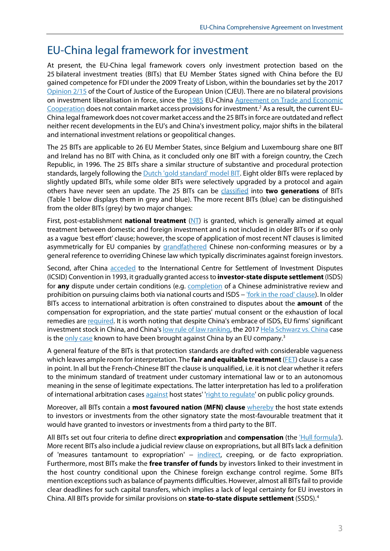### EU-China legal framework for investment

At present, the EU-China legal framework covers only investment protection based on the 25 bilateral investment treaties (BITs) that EU Member States signed with China before the EU gained competence for FDI under the 2009 Treaty of Lisbon, within the boundaries set by the 2017 [Opinion 2/15](http://curia.europa.eu/juris/document/document.jsf?text=&docid=190727&doclang=EN) of the Court of Justice of the European Union (CJEU). There are no bilateral provisions on investment liberalisation in force, since the [1985](http://ec.europa.eu/world/agreements/prepareCreateTreatiesWorkspace/treatiesGeneralData.do?step=0&redirect=true&treatyId=341) [EU-China Agreement on Trade and Economic](https://eur-lex.europa.eu/legal-content/EN/TXT/?uri=uriserv:OJ.L_.1985.250.01.0002.01.ENG&toc=OJ:L:1985:250:TOC)  [Cooperation](https://eur-lex.europa.eu/legal-content/EN/TXT/?uri=uriserv:OJ.L_.1985.250.01.0002.01.ENG&toc=OJ:L:1985:250:TOC) does not contain market access provisions for investment.<sup>[2](#page-11-1)</sup> As a result, the current EU-China legal framework does not cover market access and the 25 BITs in force are outdated and reflect neither recent developments in the EU's and China's investment policy, major shifts in the bilateral and international investment relations or geopolitical changes.

The 25 BITs are applicable to 26 EU Member States, since Belgium and Luxembourg share one BIT and Ireland has no BIT with China, as it concluded only one BIT with a foreign country, the Czech Republic, in 1996. The 25 BITs share a similar structure of substantive and procedural protection standards, largely following th[e Dutch 'gold standard'](https://cris.vub.be/files/29952551/SSRN_id2241455.pdf) model BIT. Eight older BITs were replaced by slightly updated BITs, while some older BITs were selectively upgraded by a protocol and again others have never seen an update. The 25 BITs can be [classified](https://law.bepress.com/cgi/viewcontent.cgi?article=9145&context=expresso) into **two generations** of BITs (Table 1 below displays them in grey and blue). The more recent BITs (blue) can be distinguished from the older BITs (grey) by two major changes:

First, post-establishment **national treatment** [\(NT\)](https://unctad.org/en/Docs/iteiit200410_en.pdf) is granted, which is generally aimed at equal treatment between domestic and foreign investment and is not included in older BITs or if so only as a vague 'best effort' clause; however, the scope of application of most recent NT clauses islimited asymmetrically for EU companies by [grandfathered](https://dictionary.cambridge.org/dictionary/english/grandfathered) Chinese non-conforming measures or by a general reference to overriding Chinese law which typically discriminates against foreign investors.

Second, after China [acceded](https://icsid.worldbank.org/en/Pages/about/Database-of-Member-States.aspx) to the International Centre for Settlement of Investment Disputes (ICSID) Convention in 1993, it gradually granted access to **investor-state dispute settlement**(ISDS) for **any** dispute under certain conditions (e.g. [completion](https://law.bepress.com/expresso/eps/1928/) of a Chinese administrative review and prohibition on pursuing claims both via national courts and ISDS – ['fork in the road'](https://www.nortonrosefulbright.com/en/knowledge/publications/0bd10ad8/fork-in-the-road-clauses) clause). In older BITs access to international arbitration is often constrained to disputes about the **amount** of the compensation for expropriation, and the state parties' mutual consent or the exhaustion of local remedies are [required.](https://www.die-gdi.de/uploads/media/Berger_ChineseBITs.pdf) It is worth noting that despite China's embrace of ISDS, EU firms' significant investment stock in China, and China'[s low rule of law ranking,](https://worldjusticeproject.org/rule-of-law-index/country/2020/China/) the 2017 [Hela Schwarz vs.](https://jusmundi.com/en/document/decision/en-hela-schwarz-gmbh-v-peoples-republic-of-china-decision-on-the-claimants-request-for-provisional-measures-friday-10th-august-2018) China case is the <u>only case</u> known to have been brought against China by an EU company.<sup>[3](#page-11-2)</sup>

A general feature of the BITs is that protection standards are drafted with considerable vagueness which leaves ample room for interpretation. The **fair and equitable treatment**[\(FET\)](https://unctad.org/en/Docs/unctaddiaeia2011d5_en.pdf) clause is a case in point. In all but the French-Chinese BIT the clause is unqualified, i.e. it is not clear whether it refers to the minimum standard of treatment under customary international law or to an autonomous meaning in the sense of legitimate expectations. The latter interpretation has led to a proliferation of international arbitration cases [against](https://cf.iisd.net/itn/2019/04/23/italy-found-liable-for-change-in-renewable-energy-policy-in-intra-eu-arbitration-shyam-balakrishnan/) host states' ['right to regulate'](https://www.oecd-ilibrary.org/finance-and-investment/the-balance-between-investor-protection-and-the-right-to-regulate-in-investment-treaties_82786801-en) on public policy grounds.

Moreover, all BITs contain a **most favoured nation (MFN) clause** [whereby](https://www.iisd.org/sites/default/files/publications/mfn-most-favoured-nation-clause-best-practices-en.pdf) the host state extends to investors or investments from the other signatory state the most-favourable treatment that it would have granted to investors or investments from a third party to the BIT.

All BITs set out four criteria to define direct **expropriation** and **compensation** (the ['Hull formula'\)](https://jusmundi.com/en/document/wiki/en-prompt-adequate-and-effective-compensation). More recent BITs also include a judicial review clause on expropriations, but all BITs lack a definition of 'measures tantamount to expropriation' – [indirect,](https://www.oecd.org/daf/inv/investment-policy/WP-2004_4.pdf) creeping, or de facto expropriation. Furthermore, most BITs make the **free transfer of funds** by investors linked to their investment in the host country conditional upon the Chinese foreign exchange control regime. Some BITs mention exceptions such as balance of payments difficulties. However, almost all BITs fail to provide clear deadlines for such capital transfers, which implies a lack of legal certainty for EU investors in China. All BITs provide for similar provisions on **state-to-state dispute settlement** (SSDS).[4](#page-11-3)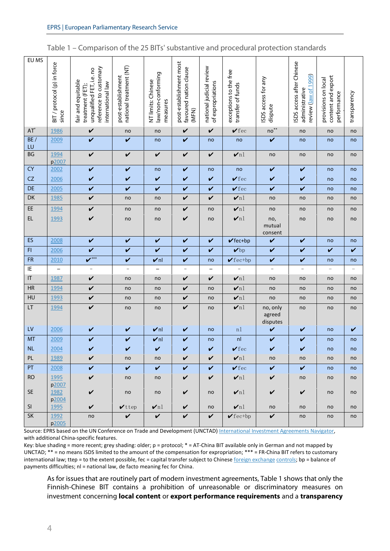| Table 1 – Comparison of the 25 BITs' substantive and procedural protection standards |  |
|--------------------------------------------------------------------------------------|--|
|--------------------------------------------------------------------------------------|--|

| EU MS<br>ISDS access after Chinese<br>post-establishment most<br>BIT / protocol (p) in force<br>national treatment (NT)<br>reference to customary<br>national judicial review<br>favoured nation clause<br>unqualified FET, i.e. no<br>exceptions to the free<br>law/non-conforming<br>review (law of 1999)<br>post-establishment<br>content and export<br>ISDS access for any<br>provisions on local<br>NT limits: Chinese<br>fair and equitable<br>of expropriations<br>international law<br>transfer of funds<br>treatment (FET);<br>administrative<br>performance<br>transparency<br>measures<br>dispute<br>(MFN)<br>since<br>$no**$<br>$AT^*$<br>$\checkmark$<br>$\checkmark$ fec<br>1986<br>V<br>$\checkmark$<br>no<br>no<br>no<br>no<br>no<br>BE/<br>$\mathbf v$<br>$\mathbf v$<br>$\checkmark$<br>2009<br>V<br>no<br>no<br>no<br>no<br>no<br>no<br>LU<br>BG<br>$\nu$ nl<br>1994<br>$\checkmark$<br>$\checkmark$<br>$\checkmark$<br>$\checkmark$<br>$\checkmark$<br>no<br>no<br>no<br>no<br>p2007<br><b>CY</b><br>$\checkmark$<br>$\checkmark$<br>2002<br>V<br>V<br>no<br>V<br>no<br>no<br>no<br>no<br>CZ<br>V<br>2006<br>V<br>V<br>$\sqrt{f}$ ec<br>V<br>V<br>V<br>V<br>no<br>no<br>DE<br>$\mathbf v$<br>$\checkmark$<br>$\checkmark$<br>$\sqrt{f}$ ec<br>$\boldsymbol{\nu}$<br>$\checkmark$<br>2005<br>$\checkmark$<br>V<br>no<br>no<br>DK<br>$\nu$ nl<br>V<br>$\checkmark$<br>$\checkmark$<br>1985<br>no<br>no<br>no<br>no<br>no<br>no<br>EE<br>$\nu$ nl<br>1994<br>$\checkmark$<br>V<br>no<br>no<br>no<br>no<br>no<br>no<br>no<br>EL.<br>$\checkmark$<br>$\checkmark$<br>$\nu$ nl<br>1993<br>no<br>no,<br>no<br>no<br>no<br>no<br>no<br>mutual<br>consent<br>ES<br>2008<br>$\checkmark$<br>$\checkmark$<br>$\checkmark$<br>V<br>$\checkmark$<br>$\checkmark$ fec+bp<br>$\checkmark$<br>$\checkmark$<br>no<br>no<br>V<br>F1<br>$\mathbf v$<br>$\mathbf v$<br>$\checkmark$<br>$\checkmark$<br>2006<br>$\checkmark$<br>$\boldsymbol{\nu}$ bp<br>$\checkmark$<br>$\checkmark$<br>$\mathbf v$<br>$\boldsymbol{V}^{***}$<br><b>FR</b><br>2010<br>V<br>$\checkmark$ fec+bp<br>$\checkmark$<br>$\nu$ nl<br>V<br>V<br>no<br>no<br>no<br>IE<br>$\overline{\phantom{0}}$<br>$\overline{\phantom{a}}$<br>$\overline{\phantom{a}}$<br>$\overline{\phantom{a}}$<br>$\overline{\phantom{0}}$<br>$\qquad \qquad -$<br>$\overline{\phantom{a}}$<br>$\qquad \qquad -$<br>$\overline{\phantom{m}}$<br>$\overline{\phantom{0}}$<br>$\sf IT$<br>$\checkmark$<br>$\nu$ nl<br>1987<br>$\checkmark$<br>$\checkmark$<br>no<br>no<br>no<br>no<br>no<br>no<br>HR<br>1994<br>$\nu$ nl<br>V<br>$\checkmark$<br>no<br>no<br>no<br>no<br>no<br>no<br>no<br>HU<br>$\nu$ nl<br>1993<br>V<br>$\checkmark$<br>no<br>no<br>no<br>no<br>no<br>no<br>no<br>LT<br>V<br>$\nu$ nl<br>1994<br>V<br>no, only<br>no<br>no<br>no<br>no<br>no<br>no<br>agreed<br>disputes<br>LV<br>2006<br>$\nu$ nl<br>V<br>V<br>n1<br>$\checkmark$<br>$\checkmark$<br>V<br>no<br>V<br>no<br><b>MT</b><br>nl<br>2009<br>$\checkmark$<br>$\checkmark$<br>$\nu$ nl<br>$\checkmark$<br>$\checkmark$<br>$\checkmark$<br>no<br>no<br>no<br>N <sub>L</sub><br>2004<br>$\sqrt{\ }$ fec<br>$\checkmark$<br>$\checkmark$<br>$\checkmark$<br>$\checkmark$<br>no<br>no<br>PL<br>1989<br>V<br>$\checkmark$<br>V<br>$\mathbf{v}$ nl<br>no<br>no<br>no<br>no<br>no<br>no<br>PT<br>$\mathbf v$<br>$\mathbf v$<br>$\checkmark$<br>$\checkmark$<br>$\checkmark$<br>$\checkmark$<br>$\checkmark$<br>2008<br>$\sqrt{\ }$ fec<br>no<br>no<br>RO<br>1995<br>V<br>$\checkmark$<br>$\checkmark$<br>$\boldsymbol{v}$ nl<br>$\checkmark$<br>no<br>no<br>no<br>no<br>no<br>p2007<br>SE<br>$\checkmark$<br>$\checkmark$<br>$\checkmark$<br>1982<br>$\boldsymbol{\mathsf{v}}$ nl<br>$\checkmark$<br>no<br>no<br>no<br>no<br>no<br>p2004<br>SI<br>$\checkmark$<br>$\nu$ nl<br>$\checkmark$<br>$\boldsymbol{v}$ nl<br>1995<br>$\checkmark$ ttep<br>no<br>no<br>no<br>no<br>no<br>SK<br>$\checkmark$<br>$\checkmark$<br>$\checkmark$<br>1992<br>$\checkmark$<br>$\checkmark$<br>$\checkmark$ fectbp<br>no<br>no<br>no<br>no<br>p2005 |  |  |  |  |  |  |
|----------------------------------------------------------------------------------------------------------------------------------------------------------------------------------------------------------------------------------------------------------------------------------------------------------------------------------------------------------------------------------------------------------------------------------------------------------------------------------------------------------------------------------------------------------------------------------------------------------------------------------------------------------------------------------------------------------------------------------------------------------------------------------------------------------------------------------------------------------------------------------------------------------------------------------------------------------------------------------------------------------------------------------------------------------------------------------------------------------------------------------------------------------------------------------------------------------------------------------------------------------------------------------------------------------------------------------------------------------------------------------------------------------------------------------------------------------------------------------------------------------------------------------------------------------------------------------------------------------------------------------------------------------------------------------------------------------------------------------------------------------------------------------------------------------------------------------------------------------------------------------------------------------------------------------------------------------------------------------------------------------------------------------------------------------------------------------------------------------------------------------------------------------------------------------------------------------------------------------------------------------------------------------------------------------------------------------------------------------------------------------------------------------------------------------------------------------------------------------------------------------------------------------------------------------------------------------------------------------------------------------------------------------------------------------------------------------------------------------------------------------------------------------------------------------------------------------------------------------------------------------------------------------------------------------------------------------------------------------------------------------------------------------------------------------------------------------------------------------------------------------------------------------------------------------------------------------------------------------------------------------------------------------------------------------------------------------------------------------------------------------------------------------------------------------------------------------------------------------------------------------------------------------------------------------------------------------------------------------------------------------------------------------------------------------------------------------------------------------------------------------------------------------------------------------------------------------------------------------------------------------------------------------------------------------------------------------------------------------------------------------------------------------------------------|--|--|--|--|--|--|
|                                                                                                                                                                                                                                                                                                                                                                                                                                                                                                                                                                                                                                                                                                                                                                                                                                                                                                                                                                                                                                                                                                                                                                                                                                                                                                                                                                                                                                                                                                                                                                                                                                                                                                                                                                                                                                                                                                                                                                                                                                                                                                                                                                                                                                                                                                                                                                                                                                                                                                                                                                                                                                                                                                                                                                                                                                                                                                                                                                                                                                                                                                                                                                                                                                                                                                                                                                                                                                                                                                                                                                                                                                                                                                                                                                                                                                                                                                                                                                                                                                                    |  |  |  |  |  |  |
|                                                                                                                                                                                                                                                                                                                                                                                                                                                                                                                                                                                                                                                                                                                                                                                                                                                                                                                                                                                                                                                                                                                                                                                                                                                                                                                                                                                                                                                                                                                                                                                                                                                                                                                                                                                                                                                                                                                                                                                                                                                                                                                                                                                                                                                                                                                                                                                                                                                                                                                                                                                                                                                                                                                                                                                                                                                                                                                                                                                                                                                                                                                                                                                                                                                                                                                                                                                                                                                                                                                                                                                                                                                                                                                                                                                                                                                                                                                                                                                                                                                    |  |  |  |  |  |  |
|                                                                                                                                                                                                                                                                                                                                                                                                                                                                                                                                                                                                                                                                                                                                                                                                                                                                                                                                                                                                                                                                                                                                                                                                                                                                                                                                                                                                                                                                                                                                                                                                                                                                                                                                                                                                                                                                                                                                                                                                                                                                                                                                                                                                                                                                                                                                                                                                                                                                                                                                                                                                                                                                                                                                                                                                                                                                                                                                                                                                                                                                                                                                                                                                                                                                                                                                                                                                                                                                                                                                                                                                                                                                                                                                                                                                                                                                                                                                                                                                                                                    |  |  |  |  |  |  |
|                                                                                                                                                                                                                                                                                                                                                                                                                                                                                                                                                                                                                                                                                                                                                                                                                                                                                                                                                                                                                                                                                                                                                                                                                                                                                                                                                                                                                                                                                                                                                                                                                                                                                                                                                                                                                                                                                                                                                                                                                                                                                                                                                                                                                                                                                                                                                                                                                                                                                                                                                                                                                                                                                                                                                                                                                                                                                                                                                                                                                                                                                                                                                                                                                                                                                                                                                                                                                                                                                                                                                                                                                                                                                                                                                                                                                                                                                                                                                                                                                                                    |  |  |  |  |  |  |
|                                                                                                                                                                                                                                                                                                                                                                                                                                                                                                                                                                                                                                                                                                                                                                                                                                                                                                                                                                                                                                                                                                                                                                                                                                                                                                                                                                                                                                                                                                                                                                                                                                                                                                                                                                                                                                                                                                                                                                                                                                                                                                                                                                                                                                                                                                                                                                                                                                                                                                                                                                                                                                                                                                                                                                                                                                                                                                                                                                                                                                                                                                                                                                                                                                                                                                                                                                                                                                                                                                                                                                                                                                                                                                                                                                                                                                                                                                                                                                                                                                                    |  |  |  |  |  |  |
|                                                                                                                                                                                                                                                                                                                                                                                                                                                                                                                                                                                                                                                                                                                                                                                                                                                                                                                                                                                                                                                                                                                                                                                                                                                                                                                                                                                                                                                                                                                                                                                                                                                                                                                                                                                                                                                                                                                                                                                                                                                                                                                                                                                                                                                                                                                                                                                                                                                                                                                                                                                                                                                                                                                                                                                                                                                                                                                                                                                                                                                                                                                                                                                                                                                                                                                                                                                                                                                                                                                                                                                                                                                                                                                                                                                                                                                                                                                                                                                                                                                    |  |  |  |  |  |  |
|                                                                                                                                                                                                                                                                                                                                                                                                                                                                                                                                                                                                                                                                                                                                                                                                                                                                                                                                                                                                                                                                                                                                                                                                                                                                                                                                                                                                                                                                                                                                                                                                                                                                                                                                                                                                                                                                                                                                                                                                                                                                                                                                                                                                                                                                                                                                                                                                                                                                                                                                                                                                                                                                                                                                                                                                                                                                                                                                                                                                                                                                                                                                                                                                                                                                                                                                                                                                                                                                                                                                                                                                                                                                                                                                                                                                                                                                                                                                                                                                                                                    |  |  |  |  |  |  |
|                                                                                                                                                                                                                                                                                                                                                                                                                                                                                                                                                                                                                                                                                                                                                                                                                                                                                                                                                                                                                                                                                                                                                                                                                                                                                                                                                                                                                                                                                                                                                                                                                                                                                                                                                                                                                                                                                                                                                                                                                                                                                                                                                                                                                                                                                                                                                                                                                                                                                                                                                                                                                                                                                                                                                                                                                                                                                                                                                                                                                                                                                                                                                                                                                                                                                                                                                                                                                                                                                                                                                                                                                                                                                                                                                                                                                                                                                                                                                                                                                                                    |  |  |  |  |  |  |
|                                                                                                                                                                                                                                                                                                                                                                                                                                                                                                                                                                                                                                                                                                                                                                                                                                                                                                                                                                                                                                                                                                                                                                                                                                                                                                                                                                                                                                                                                                                                                                                                                                                                                                                                                                                                                                                                                                                                                                                                                                                                                                                                                                                                                                                                                                                                                                                                                                                                                                                                                                                                                                                                                                                                                                                                                                                                                                                                                                                                                                                                                                                                                                                                                                                                                                                                                                                                                                                                                                                                                                                                                                                                                                                                                                                                                                                                                                                                                                                                                                                    |  |  |  |  |  |  |
|                                                                                                                                                                                                                                                                                                                                                                                                                                                                                                                                                                                                                                                                                                                                                                                                                                                                                                                                                                                                                                                                                                                                                                                                                                                                                                                                                                                                                                                                                                                                                                                                                                                                                                                                                                                                                                                                                                                                                                                                                                                                                                                                                                                                                                                                                                                                                                                                                                                                                                                                                                                                                                                                                                                                                                                                                                                                                                                                                                                                                                                                                                                                                                                                                                                                                                                                                                                                                                                                                                                                                                                                                                                                                                                                                                                                                                                                                                                                                                                                                                                    |  |  |  |  |  |  |
|                                                                                                                                                                                                                                                                                                                                                                                                                                                                                                                                                                                                                                                                                                                                                                                                                                                                                                                                                                                                                                                                                                                                                                                                                                                                                                                                                                                                                                                                                                                                                                                                                                                                                                                                                                                                                                                                                                                                                                                                                                                                                                                                                                                                                                                                                                                                                                                                                                                                                                                                                                                                                                                                                                                                                                                                                                                                                                                                                                                                                                                                                                                                                                                                                                                                                                                                                                                                                                                                                                                                                                                                                                                                                                                                                                                                                                                                                                                                                                                                                                                    |  |  |  |  |  |  |
|                                                                                                                                                                                                                                                                                                                                                                                                                                                                                                                                                                                                                                                                                                                                                                                                                                                                                                                                                                                                                                                                                                                                                                                                                                                                                                                                                                                                                                                                                                                                                                                                                                                                                                                                                                                                                                                                                                                                                                                                                                                                                                                                                                                                                                                                                                                                                                                                                                                                                                                                                                                                                                                                                                                                                                                                                                                                                                                                                                                                                                                                                                                                                                                                                                                                                                                                                                                                                                                                                                                                                                                                                                                                                                                                                                                                                                                                                                                                                                                                                                                    |  |  |  |  |  |  |
|                                                                                                                                                                                                                                                                                                                                                                                                                                                                                                                                                                                                                                                                                                                                                                                                                                                                                                                                                                                                                                                                                                                                                                                                                                                                                                                                                                                                                                                                                                                                                                                                                                                                                                                                                                                                                                                                                                                                                                                                                                                                                                                                                                                                                                                                                                                                                                                                                                                                                                                                                                                                                                                                                                                                                                                                                                                                                                                                                                                                                                                                                                                                                                                                                                                                                                                                                                                                                                                                                                                                                                                                                                                                                                                                                                                                                                                                                                                                                                                                                                                    |  |  |  |  |  |  |
|                                                                                                                                                                                                                                                                                                                                                                                                                                                                                                                                                                                                                                                                                                                                                                                                                                                                                                                                                                                                                                                                                                                                                                                                                                                                                                                                                                                                                                                                                                                                                                                                                                                                                                                                                                                                                                                                                                                                                                                                                                                                                                                                                                                                                                                                                                                                                                                                                                                                                                                                                                                                                                                                                                                                                                                                                                                                                                                                                                                                                                                                                                                                                                                                                                                                                                                                                                                                                                                                                                                                                                                                                                                                                                                                                                                                                                                                                                                                                                                                                                                    |  |  |  |  |  |  |
|                                                                                                                                                                                                                                                                                                                                                                                                                                                                                                                                                                                                                                                                                                                                                                                                                                                                                                                                                                                                                                                                                                                                                                                                                                                                                                                                                                                                                                                                                                                                                                                                                                                                                                                                                                                                                                                                                                                                                                                                                                                                                                                                                                                                                                                                                                                                                                                                                                                                                                                                                                                                                                                                                                                                                                                                                                                                                                                                                                                                                                                                                                                                                                                                                                                                                                                                                                                                                                                                                                                                                                                                                                                                                                                                                                                                                                                                                                                                                                                                                                                    |  |  |  |  |  |  |
|                                                                                                                                                                                                                                                                                                                                                                                                                                                                                                                                                                                                                                                                                                                                                                                                                                                                                                                                                                                                                                                                                                                                                                                                                                                                                                                                                                                                                                                                                                                                                                                                                                                                                                                                                                                                                                                                                                                                                                                                                                                                                                                                                                                                                                                                                                                                                                                                                                                                                                                                                                                                                                                                                                                                                                                                                                                                                                                                                                                                                                                                                                                                                                                                                                                                                                                                                                                                                                                                                                                                                                                                                                                                                                                                                                                                                                                                                                                                                                                                                                                    |  |  |  |  |  |  |
|                                                                                                                                                                                                                                                                                                                                                                                                                                                                                                                                                                                                                                                                                                                                                                                                                                                                                                                                                                                                                                                                                                                                                                                                                                                                                                                                                                                                                                                                                                                                                                                                                                                                                                                                                                                                                                                                                                                                                                                                                                                                                                                                                                                                                                                                                                                                                                                                                                                                                                                                                                                                                                                                                                                                                                                                                                                                                                                                                                                                                                                                                                                                                                                                                                                                                                                                                                                                                                                                                                                                                                                                                                                                                                                                                                                                                                                                                                                                                                                                                                                    |  |  |  |  |  |  |
|                                                                                                                                                                                                                                                                                                                                                                                                                                                                                                                                                                                                                                                                                                                                                                                                                                                                                                                                                                                                                                                                                                                                                                                                                                                                                                                                                                                                                                                                                                                                                                                                                                                                                                                                                                                                                                                                                                                                                                                                                                                                                                                                                                                                                                                                                                                                                                                                                                                                                                                                                                                                                                                                                                                                                                                                                                                                                                                                                                                                                                                                                                                                                                                                                                                                                                                                                                                                                                                                                                                                                                                                                                                                                                                                                                                                                                                                                                                                                                                                                                                    |  |  |  |  |  |  |
|                                                                                                                                                                                                                                                                                                                                                                                                                                                                                                                                                                                                                                                                                                                                                                                                                                                                                                                                                                                                                                                                                                                                                                                                                                                                                                                                                                                                                                                                                                                                                                                                                                                                                                                                                                                                                                                                                                                                                                                                                                                                                                                                                                                                                                                                                                                                                                                                                                                                                                                                                                                                                                                                                                                                                                                                                                                                                                                                                                                                                                                                                                                                                                                                                                                                                                                                                                                                                                                                                                                                                                                                                                                                                                                                                                                                                                                                                                                                                                                                                                                    |  |  |  |  |  |  |
|                                                                                                                                                                                                                                                                                                                                                                                                                                                                                                                                                                                                                                                                                                                                                                                                                                                                                                                                                                                                                                                                                                                                                                                                                                                                                                                                                                                                                                                                                                                                                                                                                                                                                                                                                                                                                                                                                                                                                                                                                                                                                                                                                                                                                                                                                                                                                                                                                                                                                                                                                                                                                                                                                                                                                                                                                                                                                                                                                                                                                                                                                                                                                                                                                                                                                                                                                                                                                                                                                                                                                                                                                                                                                                                                                                                                                                                                                                                                                                                                                                                    |  |  |  |  |  |  |
|                                                                                                                                                                                                                                                                                                                                                                                                                                                                                                                                                                                                                                                                                                                                                                                                                                                                                                                                                                                                                                                                                                                                                                                                                                                                                                                                                                                                                                                                                                                                                                                                                                                                                                                                                                                                                                                                                                                                                                                                                                                                                                                                                                                                                                                                                                                                                                                                                                                                                                                                                                                                                                                                                                                                                                                                                                                                                                                                                                                                                                                                                                                                                                                                                                                                                                                                                                                                                                                                                                                                                                                                                                                                                                                                                                                                                                                                                                                                                                                                                                                    |  |  |  |  |  |  |
|                                                                                                                                                                                                                                                                                                                                                                                                                                                                                                                                                                                                                                                                                                                                                                                                                                                                                                                                                                                                                                                                                                                                                                                                                                                                                                                                                                                                                                                                                                                                                                                                                                                                                                                                                                                                                                                                                                                                                                                                                                                                                                                                                                                                                                                                                                                                                                                                                                                                                                                                                                                                                                                                                                                                                                                                                                                                                                                                                                                                                                                                                                                                                                                                                                                                                                                                                                                                                                                                                                                                                                                                                                                                                                                                                                                                                                                                                                                                                                                                                                                    |  |  |  |  |  |  |
|                                                                                                                                                                                                                                                                                                                                                                                                                                                                                                                                                                                                                                                                                                                                                                                                                                                                                                                                                                                                                                                                                                                                                                                                                                                                                                                                                                                                                                                                                                                                                                                                                                                                                                                                                                                                                                                                                                                                                                                                                                                                                                                                                                                                                                                                                                                                                                                                                                                                                                                                                                                                                                                                                                                                                                                                                                                                                                                                                                                                                                                                                                                                                                                                                                                                                                                                                                                                                                                                                                                                                                                                                                                                                                                                                                                                                                                                                                                                                                                                                                                    |  |  |  |  |  |  |
|                                                                                                                                                                                                                                                                                                                                                                                                                                                                                                                                                                                                                                                                                                                                                                                                                                                                                                                                                                                                                                                                                                                                                                                                                                                                                                                                                                                                                                                                                                                                                                                                                                                                                                                                                                                                                                                                                                                                                                                                                                                                                                                                                                                                                                                                                                                                                                                                                                                                                                                                                                                                                                                                                                                                                                                                                                                                                                                                                                                                                                                                                                                                                                                                                                                                                                                                                                                                                                                                                                                                                                                                                                                                                                                                                                                                                                                                                                                                                                                                                                                    |  |  |  |  |  |  |
|                                                                                                                                                                                                                                                                                                                                                                                                                                                                                                                                                                                                                                                                                                                                                                                                                                                                                                                                                                                                                                                                                                                                                                                                                                                                                                                                                                                                                                                                                                                                                                                                                                                                                                                                                                                                                                                                                                                                                                                                                                                                                                                                                                                                                                                                                                                                                                                                                                                                                                                                                                                                                                                                                                                                                                                                                                                                                                                                                                                                                                                                                                                                                                                                                                                                                                                                                                                                                                                                                                                                                                                                                                                                                                                                                                                                                                                                                                                                                                                                                                                    |  |  |  |  |  |  |
|                                                                                                                                                                                                                                                                                                                                                                                                                                                                                                                                                                                                                                                                                                                                                                                                                                                                                                                                                                                                                                                                                                                                                                                                                                                                                                                                                                                                                                                                                                                                                                                                                                                                                                                                                                                                                                                                                                                                                                                                                                                                                                                                                                                                                                                                                                                                                                                                                                                                                                                                                                                                                                                                                                                                                                                                                                                                                                                                                                                                                                                                                                                                                                                                                                                                                                                                                                                                                                                                                                                                                                                                                                                                                                                                                                                                                                                                                                                                                                                                                                                    |  |  |  |  |  |  |
|                                                                                                                                                                                                                                                                                                                                                                                                                                                                                                                                                                                                                                                                                                                                                                                                                                                                                                                                                                                                                                                                                                                                                                                                                                                                                                                                                                                                                                                                                                                                                                                                                                                                                                                                                                                                                                                                                                                                                                                                                                                                                                                                                                                                                                                                                                                                                                                                                                                                                                                                                                                                                                                                                                                                                                                                                                                                                                                                                                                                                                                                                                                                                                                                                                                                                                                                                                                                                                                                                                                                                                                                                                                                                                                                                                                                                                                                                                                                                                                                                                                    |  |  |  |  |  |  |

Source: EPRS based on the UN Conference on Trade and Development (UNCTAD) International Investment Agreements Navigator, with additional China-specific features.

Key: blue shading = more recent; grey shading: older; p = protocol; \* = AT-China BIT available only in German and not mapped by UNCTAD; \*\* = no means ISDS limited to the amount of the compensation for expropriation; \*\*\* = FR-China BIT refers to customary international law; ttep = to the extent possible, fec = capital transfer subject to Chines[e foreign exchange](https://www.bis.org/publ/bppdf/bispap44h.pdf) [controls;](https://www.imf.org/en/Publications/WP/Issues/2019/03/07/Chinas-Evolving-Exchange-Rate-Regime-46649) bp = balance of payments difficulties; nl = national law, de facto meaning fec for China.

As for issues that are routinely part of modern investment agreements, Table 1 shows that only the Finnish-Chinese BIT contains a prohibition of unreasonable or discriminatory measures on investment concerning **local content** or **export performance requirements** and a **transparency**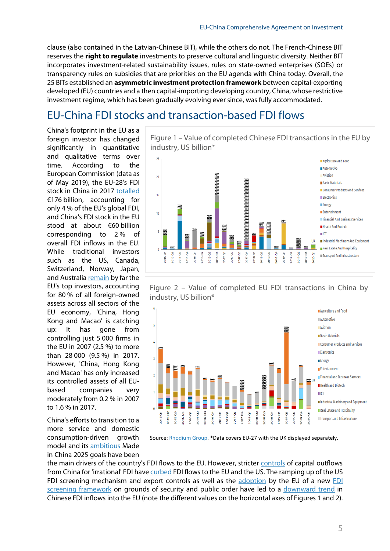clause (also contained in the Latvian-Chinese BIT), while the others do not. The French-Chinese BIT reserves the **right to regulate** investments to preserve cultural and linguistic diversity. Neither BIT incorporates investment-related sustainability issues, rules on state-owned enterprises (SOEs) or transparency rules on subsidies that are priorities on the EU agenda with China today. Overall, the 25 BITs established an **asymmetric investment protection framework** between capital-exporting developed (EU) countries and a then capital-importing developing country, China, whose restrictive investment regime, which has been gradually evolving ever since, was fully accommodated.

# EU-China FDI stocks and transaction-based FDI flows

China's footprint in the EU as a foreign investor has changed significantly in quantitative and qualitative terms over time. According to the European Commission (data as of May 2019), the EU-28's FDI stock in China in 2017 [totalled](https://ec.europa.eu/trade/policy/countries-and-regions/countries/china/) €176 billion, accounting for only 4 % of the EU's global FDI, and China's FDI stock in the EU stood at about €60 billion corresponding to 2 % of overall FDI inflows in the EU. While traditional investors such as the US, Canada, Switzerland, Norway, Japan, and Australi[a remain](https://trade.ec.europa.eu/doclib/docs/2019/march/tradoc_157724.pdf) by far the EU's top investors, accounting for 80 % of all foreign-owned assets across all sectors of the EU economy, 'China, Hong Kong and Macao' is catching up: It has gone from controlling just 5 000 firms in the EU in 2007 (2.5 %) to more than 28 000 (9.5 %) in 2017. However, 'China, Hong Kong and Macao' has only increased its controlled assets of all EUbased companies very moderately from 0.2 % in 2007 to 1.6 % in 2017.

China's efforts to transition to a more service and domestic consumption-driven growth model and its [ambitious](https://www.bertelsmann-stiftung.de/fileadmin/files/BSt/Publikationen/GrauePublikationen/MT_Is_China_Systematically_Buying_Up_Key_Technologies.pdf) Made in China 2025 goals have been





Figure 2 – Value of completed EU FDI transactions in China by industry, US billion\*



the main drivers of the country's FDI flows to the EU. However, stricter [controls](https://chinadashboard.asiasociety.org/winter-2019/page/cross-border-investment) of capital outflows from China for 'irrational' FDI hav[e curbed](https://www.piie.com/sites/default/files/documents/pb19-12.pdf) FDI flows to the EU and the US. The ramping up of the US FDI screening mechanism and export controls as well as the [adoption](https://www.europarl.europa.eu/RegData/etudes/BRIE/2018/614667/EPRS_BRI(2018)614667_EN.pdf) by the EU of a new FDI [screening framework](https://trade.ec.europa.eu/doclib/docs/2019/november/tradoc_158426.pdf) on grounds of security and public order have led to a [downward trend](https://merics.org/en/press-release/chinese-foreign-direct-investment-eu-2019-lower-investment-deeper-entanglement-and) in Chinese FDI inflows into the EU (note the different values on the horizontal axes of Figures 1 and 2).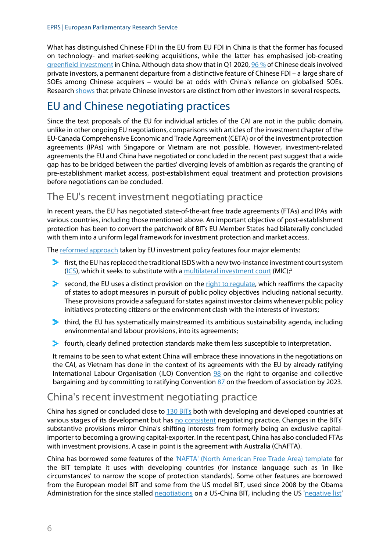What has distinguished Chinese FDI in the EU from EU FDI in China is that the former has focused on technology- and market-seeking acquisitions, while the latter has emphasised job-creating [greenfield investment](https://trade.ec.europa.eu/doclib/docs/2020/june/tradoc_158775.pdf) in China. Although data show that in Q1 2020, [96](https://trade.ec.europa.eu/doclib/docs/2020/june/tradoc_158775.pdf) % of Chinese deals involved private investors, a permanent departure from a distinctive feature of Chinese FDI – a large share of SOEs among Chinese acquirers – would be at odds with China's reliance on globalised SOEs. Researc[h shows](https://www.econpol.eu/sites/default/files/2019-11/EconPol_Working_Paper_33_Chinese_Overseas_Investment.pdf) that private Chinese investors are distinct from other investors in several respects.

# EU and Chinese negotiating practices

Since the text proposals of the EU for individual articles of the CAI are not in the public domain, unlike in other ongoing EU negotiations, comparisons with articles of the investment chapter of the EU-Canada Comprehensive Economic and Trade Agreement (CETA) or of the investment protection agreements (IPAs) with Singapore or Vietnam are not possible. However, investment-related agreements the EU and China have negotiated or concluded in the recent past suggest that a wide gap has to be bridged between the parties' diverging levels of ambition as regards the granting of pre-establishment market access, post-establishment equal treatment and protection provisions before negotiations can be concluded.

### The EU's recent investment negotiating practice

In recent years, the EU has negotiated state-of-the-art free trade agreements (FTAs) and IPAs with various countries, including those mentioned above. An important objective of post-establishment protection has been to convert the patchwork of BITs EU Member States had bilaterally concluded with them into a uniform legal framework for investment protection and market access.

Th[e reformed approach](https://trade.ec.europa.eu/doclib/docs/2015/october/tradoc_153846.pdf) taken by EU investment policy features four major elements:

- $\blacktriangleright$  first, the EU has replaced the traditional ISDS with a new two-instance investment court system [\(ICS\)](https://ec.europa.eu/commission/presscorner/detail/en/IP_19_2334), which it seeks to substitute with [a multilateral investment court](https://www.europarl.europa.eu/RegData/etudes/BRIE/2020/646147/EPRS_BRI(2020)646147_EN.pdf) (MIC)<sup>[5](#page-11-4)</sup>
- $\blacktriangleright$  second, the EU uses a distinct provision on the right to requlate, which reaffirms the capacity of states to adopt measures in pursuit of public policy objectives including national security. These provisions provide a safeguard for states against investor claims whenever public policy initiatives protecting citizens or the environment clash with the interests of investors;
- $\blacktriangleright$  third, the EU has systematically mainstreamed its ambitious sustainability agenda, including environmental and labour provisions, into its agreements;
- $\blacktriangleright$  fourth, clearly defined protection standards make them less susceptible to interpretation.

It remains to be seen to what extent China will embrace these innovations in the negotiations on the CAI, as Vietnam has done in the context of its agreements with the EU by already ratifying International Labour Organisation (ILO) Convention [98](https://www.ilo.org/brussels/information-resources/news/WCMS_732061/lang--en/index.htm) on the right to organise and collective bargaining and by committing to ratifying Convention [87](https://www.ilo.org/hanoi/Informationresources/Publicinformation/Pressreleases/WCMS_736139/lang--en/index.htm) on the freedom of association by 2023.

#### China's recent investment negotiating practice

China has signed or concluded close to [130 BITs](https://investmentpolicy.unctad.org/international-investment-agreements/countries/42/china) both with developing and developed countries at various stages of its development but has [no consistent](https://www.die-gdi.de/externe-publikationen/article/hesitant-embrace-chinas-recent-approach-to-international-investment-rule-making/) negotiating practice. Changes in the BITs' substantive provisions mirror China's shifting interests from formerly being an exclusive capitalimporter to becoming a growing capital-exporter. In the recent past, China has also concluded FTAs with investment provisions. A case in point is the agreement with Australia (ChAFTA).

China has borrowed some features of the 'NAFTA' (North [American Free Trade Area\) template](https://papers.ssrn.com/sol3/papers.cfm?abstract_id=2241455) for the BIT template it uses with developing countries (for instance language such as 'in like circumstances' to narrow the scope of protection standards). Some other features are borrowed from the European model BIT and some from the US model BIT, used since 2008 by the Obama Administration for the since stalled [negotiations](http://arizonajournal.org/wp-content/uploads/2015/10/2-Gantz-Final.pdf) on a US-China BIT, including the US ['negative list'](http://ccsi.columbia.edu/files/2014/01/FDI_85.pdf)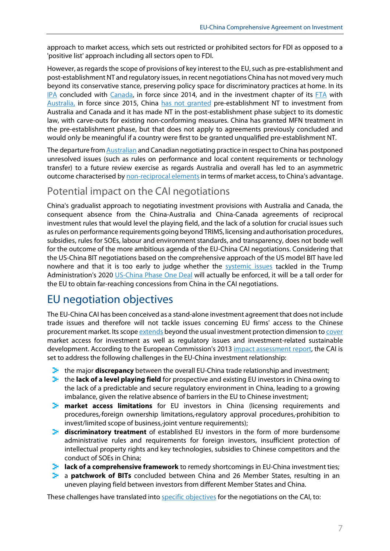approach to market access, which sets out restricted or prohibited sectors for FDI as opposed to a 'positive list' approach including all sectors open to FDI.

However, as regards the scope of provisions of key interest to the EU, such as pre-establishment and post-establishment NT and regulatory issues, in recent negotiations China has not moved very much beyond its conservative stance, preserving policy space for discriminatory practices at home. In its [IPA](https://www.international.gc.ca/trade-commerce/trade-agreements-accords-commerciaux/agr-acc/china-chine/fipa-apie/index.aspx?lang=eng) concluded with [Canada,](https://www.scirp.org/journal/paperinformation.aspx?paperid=91883) in force since 2014, and in the investment chapter of its [FTA](http://fta.mofcom.gov.cn/Australia/annex/xdzw_en.pdf) with [Australia,](https://dfat.gov.au/trade/agreements/in-force/chafta/fact-sheets/Pages/chafta-fact-sheet-investment.aspx) in force since 2015, China [has not granted](https://www.uscc.gov/sites/default/files/Research/Staff%20Report_Policy%20Considerations%20for%20Negotiating%20a%20U.S.-China%20Bilateral%20Investment%20Treaty080116.pdf) pre-establishment NT to investment from Australia and Canada and it has made NT in the post-establishment phase subject to its domestic law, with carve-outs for existing non-conforming measures. China has granted MFN treatment in the pre-establishment phase, but that does not apply to agreements previously concluded and would only be meaningful if a country were first to be granted unqualified pre-establishment NT.

The departure fro[m Australian](https://www.cibel.unsw.edu.au/blog/chinese-investment-australia-why-do-we-need-better-chafta) and Canadian negotiating practice in respect to China has postponed unresolved issues (such as rules on performance and local content requirements or technology transfer) to a future review exercise as regards Australia and overall has led to an asymmetric outcome characterised by [non-reciprocal elementsi](https://papers.ssrn.com/sol3/papers.cfm?abstract_id=3093776)n terms of market access, to China's advantage.

#### Potential impact on the CAI negotiations

China's gradualist approach to negotiating investment provisions with Australia and Canada, the consequent absence from the China-Australia and China-Canada agreements of reciprocal investment rules that would level the playing field, and the lack of a solution for crucial issues such as rules on performance requirements going beyond TRIMS, licensing and authorisation procedures, subsidies, rules for SOEs, labour and environment standards, and transparency, does not bode well for the outcome of the more ambitious agenda of the EU-China CAI negotiations. Considering that the US-China BIT negotiations based on the comprehensive approach of the US model BIT have led nowhere and that it is too early to judge whether the **[systemic issues](https://www.cfr.org/blog/what-look-phase-one-us-china-trade-deal)** tackled in the Trump Administration's 2020 [US-China Phase One Deal](https://ustr.gov/sites/default/files/files/agreements/phase%20one%20agreement/Economic_And_Trade_Agreement_Between_The_United_States_And_China_Text.pdf) will actually be enforced, it will be a tall order for the EU to obtain far-reaching concessions from China in the CAI negotiations.

### EU negotiation objectives

The EU-China CAI has been conceived as a stand-alone investment agreement that does not include trade issues and therefore will not tackle issues concerning EU firms' access to the Chinese procurement market. Its scop[e extends](https://ec.europa.eu/commission/presscorner/detail/en/IP_13_458) beyond the usual investment protection dimension t[o cover](https://www.consilium.europa.eu/ueDocs/cms_Data/docs/pressData/EN/foraff/139062.pdf#page=8) market access for investment as well as regulatory issues and investment-related sustainable development. According to the European Commission's 2013 [impact assessment report,](https://ec.europa.eu/smart-regulation/impact/ia_carried_out/docs/ia_2013/swd_2013_0185_en.pdf) the CAI is set to address the following challenges in the EU-China investment relationship:

- **E** the major **discrepancy** between the overall EU-China trade relationship and investment;
- **E** the **lack of a level playing field** for prospective and existing EU investors in China owing to the lack of a predictable and secure regulatory environment in China, leading to a growing imbalance, given the relative absence of barriers in the EU to Chinese investment;
- ⊁. **market access limitations** for EU investors in China (licensing requirements and procedures,·foreign ownership limitations,·regulatory approval procedures,·prohibition to invest/limited scope of business,·joint venture requirements);
- **discriminatory treatment** of established EU investors in the form of more burdensome administrative rules and requirements for foreign investors, insufficient protection of intellectual property rights and key technologies, subsidies to Chinese competitors and the conduct of SOEs in China;
- > ∶ **lack of a comprehensive framework** to remedy shortcomings in EU-China investment ties;
- a **patchwork of BITs** concluded between China and 26 Member States, resulting in an uneven playing field between investors from different Member States and China.

These challenges have translated int[o specific objectives](https://ec.europa.eu/smart-regulation/impact/ia_carried_out/docs/ia_2013/swd_2013_0184_en.pdf) for the negotiations on the CAI, to: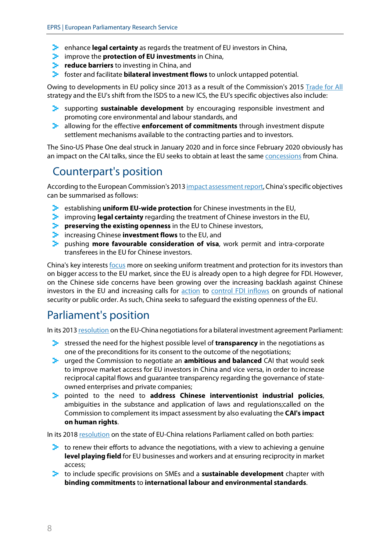- **E** enhance **legal certainty** as regards the treatment of EU investors in China,
- **E** improve the **protection of EU investments** in China,
- **P** reduce barriers to investing in China, and
- **F** foster and facilitate **bilateral investment flows** to unlock untapped potential.

Owing to developments in EU policy since 2013 as a result of the Commission's 2015 [Trade for All](https://trade.ec.europa.eu/doclib/docs/2015/october/tradoc_153846.pdf) strategy and the EU's shift from the ISDS to a new ICS, the EU's specific objectives also include:

- supporting **sustainable development** by encouraging responsible investment and promoting core environmental and labour standards, and
- Э. allowing for the effective **enforcement of commitments** through investment dispute settlement mechanisms available to the contracting parties and to investors.

The Sino-US Phase One deal struck in January 2020 and in force since February 2020 obviously has an impact on the CAI talks, since the EU seeks to obtain at least the same [concessions](https://www.cato.org/blog/what-will-us-china-deal-accomplish-tech-transfer-ip-protection-innovation) from China.

# Counterpart's position

According to the European Commission's 201[3 impact assessment report,](https://ec.europa.eu/smart-regulation/impact/ia_carried_out/docs/ia_2013/swd_2013_0184_en.pdf) China's specific objectives can be summarised as follows:

- establishing **uniform EU-wide protection** for Chinese investments in the EU,
- improving **legal certainty** regarding the treatment of Chinese investors in the EU,
- **Preserving the existing openness** in the EU to Chinese investors,
- **E** increasing Chinese **investment flows** to the EU, and
- pushing **more favourable consideration of visa**, work permit and intra-corporate transferees in the EU for Chinese investors.

China's key interests [focus](https://ec.europa.eu/smart-regulation/impact/ia_carried_out/docs/ia_2013/swd_2013_0185_en.pdf) more on seeking uniform treatment and protection for its investors than on bigger access to the EU market, since the EU is already open to a high degree for FDI. However, on the Chinese side concerns have been growing over the increasing backlash against Chinese investors in the EU and increasing calls for **action** to **control FDI** inflows on grounds of national security or public order. As such, China seeks to safeguard the existing openness of the EU.

# Parliament's position

In its 201[3 resolution](https://www.europarl.europa.eu/sides/getDoc.do?pubRef=-//EP//TEXT+TA+P7-TA-2013-0411+0+DOC+XML+V0//EN) on the EU-China negotiations for a bilateral investment agreement Parliament:

- stressed the need for the highest possible level of **transparency** in the negotiations as one of the preconditions for its consent to the outcome of the negotiations;
- urged the Commission to negotiate an **ambitious and balanced** CAI that would seek to improve market access for EU investors in China and vice versa, in order to increase reciprocal capital flows and guarantee transparency regarding the governance of stateowned enterprises and private companies;
- pointed to the need to **address Chinese interventionist industrial policies**, ambiguities in the substance and application of laws and regulations;called on the Commission to complement its impact assessment by also evaluating the **CAI's impact on human rights**.

In its 2018 [resolution](https://www.europarl.europa.eu/doceo/document/TA-8-2018-0343_EN.html) on the state of EU-China relations Parliament called on both parties:

- $\blacktriangleright$  to renew their efforts to advance the negotiations, with a view to achieving a genuine **level playing field** for EU businesses and workers and at ensuring reciprocity in market access;
- to include specific provisions on SMEs and a **sustainable development** chapter with **binding commitments** to **international labour and environmental standards**.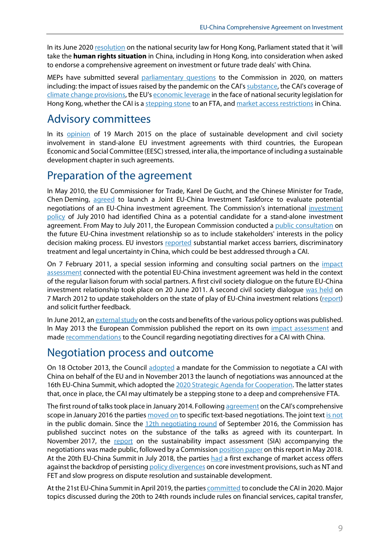In its June 202[0 resolution](https://www.europarl.europa.eu/doceo/document/TA-9-2020-0174_EN.html) on the national security law for Hong Kong, Parliament stated that it 'will take the **human rights situation** in China, including in Hong Kong, into consideration when asked to endorse a comprehensive agreement on investment or future trade deals' with China.

MEPs have submitted several [parliamentary questions](https://www.europarl.europa.eu/EPRS/Parliamentary-questions-EN.pdf) to the Commission in 2020, on matters including: the impact of issues raised by the pandemic on the CAI's [substance,](https://www.europarl.europa.eu/doceo/document/E-9-2020-002708_EN.html) the CAI's coverage of [climate change](https://www.europarl.europa.eu/doceo/document/E-9-2020-001102_EN.html) provisions, the EU's [economic leverage](https://www.europarl.europa.eu/doceo/document/E-9-2020-003260_EN.html) in the face of national security legislation for Hong Kong, whether the CAI is a [stepping stone](https://www.europarl.europa.eu/doceo/document/E-9-2020-003141_EN.html) to an FTA, an[d market access restrictions](https://www.europarl.europa.eu/doceo/document/E-9-2020-001096_EN.html) in China.

### Advisory committees

In its [opinion](https://www.eesc.europa.eu/en/our-work/opinions-information-reports/opinions/role-sustainable-development-and-civil-society-involvement-stand-alone-eu-investment-agreements-third-countries) of 19 March 2015 on the place of sustainable development and civil society involvement in stand-alone EU investment agreements with third countries, the European Economic and Social Committee (EESC) stressed, inter alia, the importance of including a sustainable development chapter in such agreements.

### Preparation of the agreement

In May 2010, the EU Commissioner for Trade, Karel De Gucht, and the Chinese Minister for Trade, Chen Deming, [agreed](https://ec.europa.eu/smart-regulation/impact/ia_carried_out/docs/ia_2013/swd_2013_0184_en.pdf) to launch a Joint EU-China Investment Taskforce to evaluate potential negotiations of an EU-China investment agreement. The Commission's international [investment](https://eur-lex.europa.eu/LexUriServ/LexUriServ.do?uri=COM:2010:0343:FIN:EN:PDF)  [policy](https://eur-lex.europa.eu/LexUriServ/LexUriServ.do?uri=COM:2010:0343:FIN:EN:PDF) of July 2010 had identified China as a potential candidate for a stand-alone investment agreement. From May to July 2011, the European Commission conducted a [public consultation](http://trade.ec.europa.eu/consultations/?consul_id=153) on the future EU-China investment relationship so as to include stakeholders' interests in the policy decision making process. EU investors [reported](https://trade.ec.europa.eu/doclib/docs/2012/march/tradoc_149185.pdf) substantial market access barriers, discriminatory treatment and legal uncertainty in China, which could be best addressed through a CAI.

On 7 February 2011, a special session informing and consulting social partners on the *impact* [assessment](https://ec.europa.eu/smart-regulation/impact/ia_carried_out/docs/ia_2013/swd_2013_0185_en.pdf) connected with the potential EU-China investment agreement was held in the context of the regular liaison forum with social partners. A first civil society dialogue on the future EU-China investment relationship took place on 20 June 2011. A second civil society dialogue [was held](http://trade.ec.europa.eu/civilsoc/meetdetails.cfm?meet=11381) on 7 March 2012 to update stakeholders on the state of play of EU-China investment relations [\(report\)](https://trade.ec.europa.eu/doclib/docs/2012/march/tradoc_149188.pdf) and solicit further feedback.

In June 2012, a[n external study](https://www.asktheeu.org/en/request/1352/response/5832/attach/2/44%2024%20EU%20China%20Final%20Report%2011JUN2012.pdf) on the costs and benefits of the various policy options was published. In May 2013 the European Commission published the report on its own [impact assessment](https://ec.europa.eu/smart-regulation/impact/ia_carried_out/docs/ia_2013/swd_2013_0184_en.pdf) and mad[e recommendations](https://ec.europa.eu/commission/presscorner/detail/en/IP_13_458) to the Council regarding negotiating directives for a CAI with China.

### Negotiation process and outcome

On 18 October 2013, the Council [adopted](https://www.consilium.europa.eu/uedocs/cms_Data/docs/pressdata/EN/foraff/139055.pdf) a mandate for the Commission to negotiate a CAI with China on behalf of the EU and in November 2013 the launch of negotiations was announced at the 16th EU-China Summit, which adopted th[e 2020 Strategic Agenda for Cooperation.](https://eeas.europa.eu/sites/eeas/files/20131123.pdf) The latter states that, once in place, the CAI may ultimately be a stepping stone to a deep and comprehensive FTA.

The first round of talks took place in January 2014. Followin[g agreement](http://trade.ec.europa.eu/doclib/press/index.cfm?id=1435) on the CAI's comprehensive scope in January 2016 the partie[s moved on](https://www.europarl.europa.eu/doceo/document/E-8-2015-015064-ASW_EN.html) to specific text-based negotiations. The joint tex[t is not](https://www.europarl.europa.eu/doceo/document/E-8-2017-007728-ASW_EN.html) in the public domain. Since the  $12$ th [negotiating round](https://trade.ec.europa.eu/doclib/docs/2016/october/tradoc_155061.pdf) of September 2016, the Commission has published succinct notes on the substance of the talks as agreed with its counterpart. In November 2017, the [report](https://trade.ec.europa.eu/doclib/docs/2018/may/tradoc_156862.pdf) on the sustainability impact assessment (SIA) accompanying the negotiations was made public, followed by a Commissio[n position paper](https://trade.ec.europa.eu/doclib/docs/2018/may/tradoc_156863.pdf) on this report in May 2018. At the 20th EU-China Summit in July 2018, the parties [had](https://ec.europa.eu/commission/presscorner/detail/en/IP_18_4521) a first exchange of market access offers against the backdrop of persistin[g policy divergences](https://www.europarl.europa.eu/doceo/document/E-8-2018-002957-ASW_EN.html) on core investment provisions, such as NT and FET and slow progress on dispute resolution and sustainable development.

At the 21st EU-China Summit in April 2019, the partie[s committed](https://www.consilium.europa.eu/media/39020/euchina-joint-statement-9april2019.pdf) to conclude the CAI in 2020. Major topics discussed during the 20th to 24th rounds include rules on financial services, capital transfer,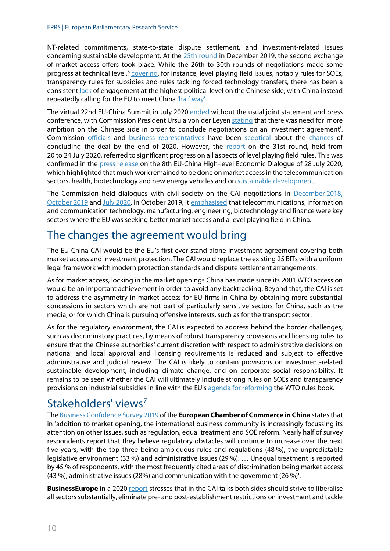NT-related commitments, state-to-state dispute settlement, and investment-related issues concerning sustainable development. At the 25th [round](https://trade.ec.europa.eu/doclib/docs/2020/january/tradoc_158555.pdf) in December 2019, the second exchange of market access offers took place. While the 26th to 30th rounds of negotiations made some progress at technical level,<sup>[6](#page-11-5)</sup> [covering,](https://trade.ec.europa.eu/doclib/docs/2020/july/tradoc_158888.docx.pdf) for instance, level playing field issues, notably rules for SOEs, transparency rules for subsidies and rules tackling forced technology transfers, there has been a consistent [lack](https://www.scmp.com/news/china/diplomacy/article/3090147/eu-china-summit-beijing-puts-focus-consensus-while-brussels) of engagement at the highest political level on the Chinese side, with China instead repeatedly calling for the EU to meet China half [way'](https://www.scmp.com/news/china/diplomacy/article/3086831/china-asks-eu-remain-flexible-negotiations-joint-investment).

The virtual 22nd EU-China Summit in July 2020 [ended](https://www.europarl.europa.eu/RegData/etudes/BRIE/2020/651987/EPRS_BRI(2020)651987_EN.pdf) without the usual joint statement and press conference, with Commission President Ursula von der Leyen [stating](https://ec.europa.eu/commission/presscorner/detail/en/ac_20_1170) that there was need for 'more ambition on the Chinese side in order to conclude negotiations on an investment agreement'. Commission [officials](https://www.scmp.com/news/world/europe/article/3084288/eu-trade-official-says-investment-deal-china-likely-hinge-two-key) and [business representatives](https://www.scmp.com/news/china/diplomacy/article/3090286/eu-china-investment-deal-unlikely-years-end-business-group) have been [sceptical](https://www.ft.com/content/a5197502-6106-48e9-bb81-e4d87925d619) about the [chances](https://www.scmp.com/print/news/china/diplomacy/article/3089924/germany-wont-take-bad-deal-investment-china) of concluding the deal by the end of 2020. However, the [report](https://trade.ec.europa.eu/doclib/docs/2020/july/tradoc_158905.pdf) on the 31st round, held from 20 to 24 July 2020, referred to significant progress on all aspects of level playing field rules. This was confirmed in the [press release](http://trade.ec.europa.eu/doclib/press/index.cfm?id=2174&title=EU-and-China-discuss-trade-and-economic-relations) on the 8th EU-China High-level Economic Dialogue of 28 July 2020, which highlighted that much work remained to be done on market accessin the telecommunication sectors, health, biotechnology and new energy vehicles and o[n sustainable development.](https://borderlex.eu/2020/07/28/eu-china-economic-dialogue-held-amidst-rising-human-rights-concerns/)

The Commission held dialogues with civil society on the CAI negotiations in [December](http://trade.ec.europa.eu/civilsoc/meetdetails.cfm?meet=11528) 2018, [October](https://trade.ec.europa.eu/doclib/docs/2019/october/tradoc_158414.pdf) 2019 and July [2020.](https://trade.ec.europa.eu/civilsoc/meetdetails.cfm?meet=11567) In October 2019, it [emphasised](https://trade.ec.europa.eu/doclib/docs/2019/october/tradoc_158414.pdf) that telecommunications, information and communication technology, manufacturing, engineering, biotechnology and finance were key sectors where the EU was seeking better market access and a level playing field in China.

## The changes the agreement would bring

The EU-China CAI would be the EU's first-ever stand-alone investment agreement covering both market access and investment protection. The CAI would replace the existing 25 BITs with a uniform legal framework with modern protection standards and dispute settlement arrangements.

As for market access, locking in the market openings China has made since its 2001 WTO accession would be an important achievement in order to avoid any backtracking. Beyond that, the CAI is set to address the asymmetry in market access for EU firms in China by obtaining more substantial concessions in sectors which are not part of particularly sensitive sectors for China, such as the media, or for which China is pursuing offensive interests, such as for the transport sector.

As for the regulatory environment, the CAI is expected to address behind the border challenges, such as discriminatory practices, by means of robust transparency provisions and licensing rules to ensure that the Chinese authorities' current discretion with respect to administrative decisions on national and local approval and licensing requirements is reduced and subject to effective administrative and judicial review. The CAI is likely to contain provisions on investment-related sustainable development, including climate change, and on corporate social responsibility. It remains to be seen whether the CAI will ultimately include strong rules on SOEs and transparency provisions on industrial subsidies in line with the EU'[s agenda for reforming](https://trade.ec.europa.eu/doclib/docs/2018/september/tradoc_157331.pdf) the WTO rules book.

# Stakeholders' views<sup>[7](#page-11-6)</sup>

The [Business Confidence Survey 2019](https://www.europeanchamber.com.cn/en/publications-business-confidence-survey) of the **European Chamber of Commerce in China** states that in 'addition to market opening, the international business community is increasingly focussing its attention on other issues, such as regulation, equal treatment and SOE reform. Nearly half of survey respondents report that they believe regulatory obstacles will continue to increase over the next five years, with the top three being ambiguous rules and regulations (48 %), the unpredictable legislative environment (33 %) and administrative issues (29 %). … Unequal treatment is reported by 45 % of respondents, with the most frequently cited areas of discrimination being market access (43 %), administrative issues (28%) and communication with the government (26 %)'.

**BusinessEurope** in a 202[0 report](https://www.businesseurope.eu/publications/eu-and-china-addressing-systemic-challenge) stresses that in the CAI talks both sides should strive to liberalise all sectors substantially, eliminate pre- and post-establishment restrictions on investment and tackle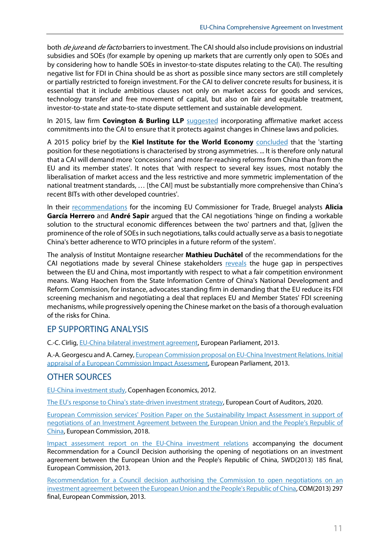both *de jure* and *de facto* barriers to investment. The CAI should also include provisions on industrial subsidies and SOEs (for example by opening up markets that are currently only open to SOEs and by considering how to handle SOEs in investor-to-state disputes relating to the CAI). The resulting negative list for FDI in China should be as short as possible since many sectors are still completely or partially restricted to foreign investment. For the CAI to deliver concrete results for business, it is essential that it include ambitious clauses not only on market access for goods and services, technology transfer and free movement of capital, but also on fair and equitable treatment, investor-to-state and state-to-state dispute settlement and sustainable development.

In 2015, law firm **Covington & Burling LLP** [suggested](https://trade.ec.europa.eu/doclib/docs/2015/october/tradoc_153840.pdf) incorporating affirmative market access commitments into the CAI to ensure that it protects against changes in Chinese laws and policies.

A 2015 policy brief by the **Kiel Institute for the World Economy** [concluded](https://www.ifw-kiel.de/fileadmin/Dateiverwaltung/IfW-Publications/-ifw/Kiel_Policy_Brief/Kiel_Policy_Brief_95_.pdf) that the 'starting position for these negotiations is characterised by strong asymmetries. ... It is therefore only natural that a CAI will demand more 'concessions' and more far-reaching reforms from China than from the EU and its member states'. It notes that 'with respect to several key issues, most notably the liberalisation of market access and the less restrictive and more symmetric implementation of the national treatment standards, … [the CAI] must be substantially more comprehensive than China's recent BITs with other developed countries'.

In their [recommendations](https://bruegel.org/wp-content/uploads/2019/09/MEMO-trade.pdf) for the incoming EU Commissioner for Trade, Bruegel analysts **Alicia García Herrero** and **André Sapir** argued that the CAI negotiations 'hinge on finding a workable solution to the structural economic differences between the two' partners and that, [g]iven the prominence of the role of SOEs in such negotiations, talks could actually serve as a basis to negotiate China's better adherence to WTO principles in a future reform of the system'.

The analysis of Institut Montaigne researcher **Mathieu Duchâtel** of the recommendations for the CAI negotiations made by several Chinese stakeholders [reveals](https://www.institutmontaigne.org/en/blog/china-trends-1-long-and-winding-road-eu-china-investment-treaty) the huge gap in perspectives between the EU and China, most importantly with respect to what a fair competition environment means. Wang Haochen from the State Information Centre of China's National Development and Reform Commission, for instance, advocates standing firm in demanding that the EU reduce its FDI screening mechanism and negotiating a deal that replaces EU and Member States' FDI screening mechanisms, while progressively opening the Chinese market on the basis of a thorough evaluation of the risks for China.

#### EP SUPPORTING ANALYSIS

C.-C. Cîrlig[, EU-China bilateral investment agreement,](http://www.europarl.europa.eu/thinktank/en/document.html?reference=LDM_BRI(2013)130642) European Parliament, 2013.

A.-A. Georgescu and A. Carney[, European Commission proposal on EU-China Investment Relations. Initial](http://www.europarl.europa.eu/thinktank/en/document.html?reference=IPOL-JOIN_NT(2013)514077)  [appraisal of a European Commission Impact Assessment,](http://www.europarl.europa.eu/thinktank/en/document.html?reference=IPOL-JOIN_NT(2013)514077) European Parliament, 2013.

#### OTHER SOURCES

[EU-China investment study,](https://www.asktheeu.org/en/request/1352/response/5832/attach/2/44%2024%20EU%20China%20Final%20Report%2011JUN2012.pdf) Copenhagen Economics, 2012.

[The EU's response to China's state-driven investment strategy,](https://www.eca.europa.eu/Lists/ECADocuments/RW20_03/RW_EU_response_to_China_EN.pdf) European Court of Auditors, 2020.

[European Commission services' Position Paper on the Sustainability Impact Assessment in support of](https://trade.ec.europa.eu/doclib/docs/2018/may/tradoc_156863.pdf)  [negotiations of an Investment Agreement between the European Union and the People's Republic of](https://trade.ec.europa.eu/doclib/docs/2018/may/tradoc_156863.pdf)  [China,](https://trade.ec.europa.eu/doclib/docs/2018/may/tradoc_156863.pdf) European Commission, 2018.

[Impact assessment report on the EU-China investment relations](https://ec.europa.eu/smart-regulation/impact/ia_carried_out/docs/ia_2013/swd_2013_0185_en.pdf) accompanying the document Recommendation for a Council Decision authorising the opening of negotiations on an investment agreement between the European Union and the People's Republic of China, SWD(2013) 185 final, European Commission, 2013.

[Recommendation for a Council decision authorising the Commission to open negotiations on an](https://ec.europa.eu/transparency/regdoc/rep/1/2013/EN/1-2013-297-EN-F1-1.PDF)  [investment agreement between the European Union and the People's Republic of China,](https://ec.europa.eu/transparency/regdoc/rep/1/2013/EN/1-2013-297-EN-F1-1.PDF) COM(2013) 297 final, European Commission, 2013.